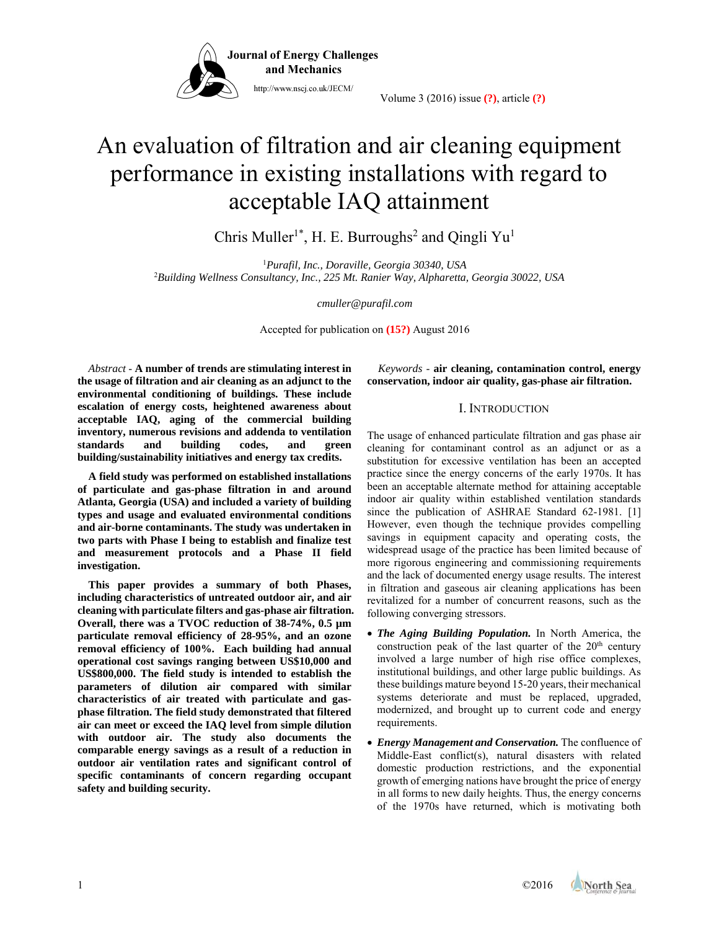

Volume 3 (2016) issue **(?)**, article **(?)**

# An evaluation of filtration and air cleaning equipment performance in existing installations with regard to acceptable IAQ attainment

Chris Muller<sup>1\*</sup>, H. E. Burroughs<sup>2</sup> and Qingli Yu<sup>1</sup>

1 *Purafil, Inc., Doraville, Georgia 30340, USA* 2 *Building Wellness Consultancy, Inc., 225 Mt. Ranier Way, Alpharetta, Georgia 30022, USA*

 *cmuller@purafil.com* 

Accepted for publication on **(15?)** August 2016

*Abstract* - **A number of trends are stimulating interest in the usage of filtration and air cleaning as an adjunct to the environmental conditioning of buildings. These include escalation of energy costs, heightened awareness about acceptable IAQ, aging of the commercial building inventory, numerous revisions and addenda to ventilation standards and building codes, and green building/sustainability initiatives and energy tax credits.** 

**A field study was performed on established installations of particulate and gas-phase filtration in and around Atlanta, Georgia (USA) and included a variety of building types and usage and evaluated environmental conditions and air-borne contaminants. The study was undertaken in two parts with Phase I being to establish and finalize test and measurement protocols and a Phase II field investigation.** 

**This paper provides a summary of both Phases, including characteristics of untreated outdoor air, and air cleaning with particulate filters and gas-phase air filtration. Overall, there was a TVOC reduction of 38-74%, 0.5 µm particulate removal efficiency of 28-95%, and an ozone removal efficiency of 100%. Each building had annual operational cost savings ranging between US\$10,000 and US\$800,000. The field study is intended to establish the parameters of dilution air compared with similar characteristics of air treated with particulate and gasphase filtration. The field study demonstrated that filtered air can meet or exceed the IAQ level from simple dilution with outdoor air. The study also documents the comparable energy savings as a result of a reduction in outdoor air ventilation rates and significant control of specific contaminants of concern regarding occupant safety and building security.** 

*Keywords* - **air cleaning, contamination control, energy conservation, indoor air quality, gas-phase air filtration.** 

#### I. INTRODUCTION

The usage of enhanced particulate filtration and gas phase air cleaning for contaminant control as an adjunct or as a substitution for excessive ventilation has been an accepted practice since the energy concerns of the early 1970s. It has been an acceptable alternate method for attaining acceptable indoor air quality within established ventilation standards since the publication of ASHRAE Standard 62-1981. [1] However, even though the technique provides compelling savings in equipment capacity and operating costs, the widespread usage of the practice has been limited because of more rigorous engineering and commissioning requirements and the lack of documented energy usage results. The interest in filtration and gaseous air cleaning applications has been revitalized for a number of concurrent reasons, such as the following converging stressors.

- *The Aging Building Population.* In North America, the construction peak of the last quarter of the  $20<sup>th</sup>$  century involved a large number of high rise office complexes, institutional buildings, and other large public buildings. As these buildings mature beyond 15-20 years, their mechanical systems deteriorate and must be replaced, upgraded, modernized, and brought up to current code and energy requirements.
- *Energy Management and Conservation.* The confluence of Middle-East conflict(s), natural disasters with related domestic production restrictions, and the exponential growth of emerging nations have brought the price of energy in all forms to new daily heights. Thus, the energy concerns of the 1970s have returned, which is motivating both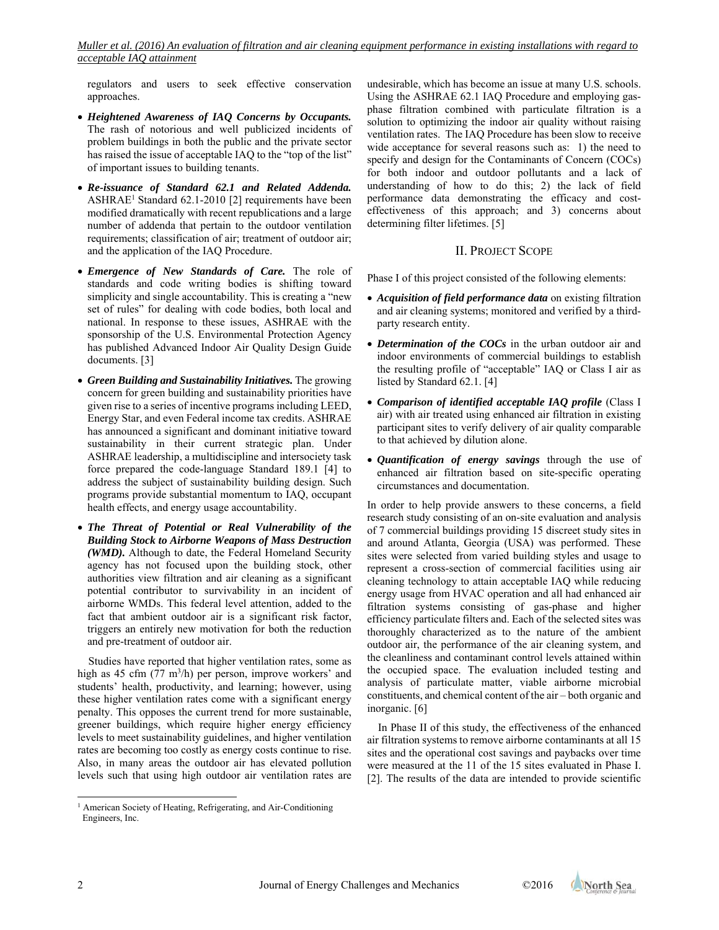*Muller et al. (2016) An evaluation of filtration and air cleaning equipment performance in existing installations with regard to acceptable IAQ attainment* 

regulators and users to seek effective conservation approaches.

- *Heightened Awareness of IAQ Concerns by Occupants.* The rash of notorious and well publicized incidents of problem buildings in both the public and the private sector has raised the issue of acceptable IAQ to the "top of the list" of important issues to building tenants.
- *Re-issuance of Standard 62.1 and Related Addenda.*  $ASHRAE<sup>1</sup> Standard 62.1-2010 [2] requirements have been$ modified dramatically with recent republications and a large number of addenda that pertain to the outdoor ventilation requirements; classification of air; treatment of outdoor air; and the application of the IAQ Procedure.
- *Emergence of New Standards of Care.* The role of standards and code writing bodies is shifting toward simplicity and single accountability. This is creating a "new set of rules" for dealing with code bodies, both local and national. In response to these issues, ASHRAE with the sponsorship of the U.S. Environmental Protection Agency has published Advanced Indoor Air Quality Design Guide documents. [3]
- *Green Building and Sustainability Initiatives.* The growing concern for green building and sustainability priorities have given rise to a series of incentive programs including LEED, Energy Star, and even Federal income tax credits. ASHRAE has announced a significant and dominant initiative toward sustainability in their current strategic plan. Under ASHRAE leadership, a multidiscipline and intersociety task force prepared the code-language Standard 189.1 [4] to address the subject of sustainability building design. Such programs provide substantial momentum to IAQ, occupant health effects, and energy usage accountability.
- *The Threat of Potential or Real Vulnerability of the Building Stock to Airborne Weapons of Mass Destruction (WMD).* Although to date, the Federal Homeland Security agency has not focused upon the building stock, other authorities view filtration and air cleaning as a significant potential contributor to survivability in an incident of airborne WMDs. This federal level attention, added to the fact that ambient outdoor air is a significant risk factor, triggers an entirely new motivation for both the reduction and pre-treatment of outdoor air.

Studies have reported that higher ventilation rates, some as high as 45 cfm (77 m<sup>3</sup>/h) per person, improve workers' and students' health, productivity, and learning; however, using these higher ventilation rates come with a significant energy penalty. This opposes the current trend for more sustainable, greener buildings, which require higher energy efficiency levels to meet sustainability guidelines, and higher ventilation rates are becoming too costly as energy costs continue to rise. Also, in many areas the outdoor air has elevated pollution levels such that using high outdoor air ventilation rates are

undesirable, which has become an issue at many U.S. schools. Using the ASHRAE 62.1 IAQ Procedure and employing gasphase filtration combined with particulate filtration is a solution to optimizing the indoor air quality without raising ventilation rates. The IAQ Procedure has been slow to receive wide acceptance for several reasons such as: 1) the need to specify and design for the Contaminants of Concern (COCs) for both indoor and outdoor pollutants and a lack of understanding of how to do this; 2) the lack of field performance data demonstrating the efficacy and costeffectiveness of this approach; and 3) concerns about determining filter lifetimes. [5]

## II. PROJECT SCOPE

Phase I of this project consisted of the following elements:

- *Acquisition of field performance data* on existing filtration and air cleaning systems; monitored and verified by a thirdparty research entity.
- *Determination of the COCs* in the urban outdoor air and indoor environments of commercial buildings to establish the resulting profile of "acceptable" IAQ or Class I air as listed by Standard 62.1. [4]
- *Comparison of identified acceptable IAQ profile* (Class I air) with air treated using enhanced air filtration in existing participant sites to verify delivery of air quality comparable to that achieved by dilution alone.
- *Quantification of energy savings* through the use of enhanced air filtration based on site-specific operating circumstances and documentation.

In order to help provide answers to these concerns, a field research study consisting of an on-site evaluation and analysis of 7 commercial buildings providing 15 discreet study sites in and around Atlanta, Georgia (USA) was performed. These sites were selected from varied building styles and usage to represent a cross-section of commercial facilities using air cleaning technology to attain acceptable IAQ while reducing energy usage from HVAC operation and all had enhanced air filtration systems consisting of gas-phase and higher efficiency particulate filters and. Each of the selected sites was thoroughly characterized as to the nature of the ambient outdoor air, the performance of the air cleaning system, and the cleanliness and contaminant control levels attained within the occupied space. The evaluation included testing and analysis of particulate matter, viable airborne microbial constituents, and chemical content of the air – both organic and inorganic. [6]

In Phase II of this study, the effectiveness of the enhanced air filtration systems to remove airborne contaminants at all 15 sites and the operational cost savings and paybacks over time were measured at the 11 of the 15 sites evaluated in Phase I. [2]. The results of the data are intended to provide scientific

 1 American Society of Heating, Refrigerating, and Air-Conditioning Engineers, Inc.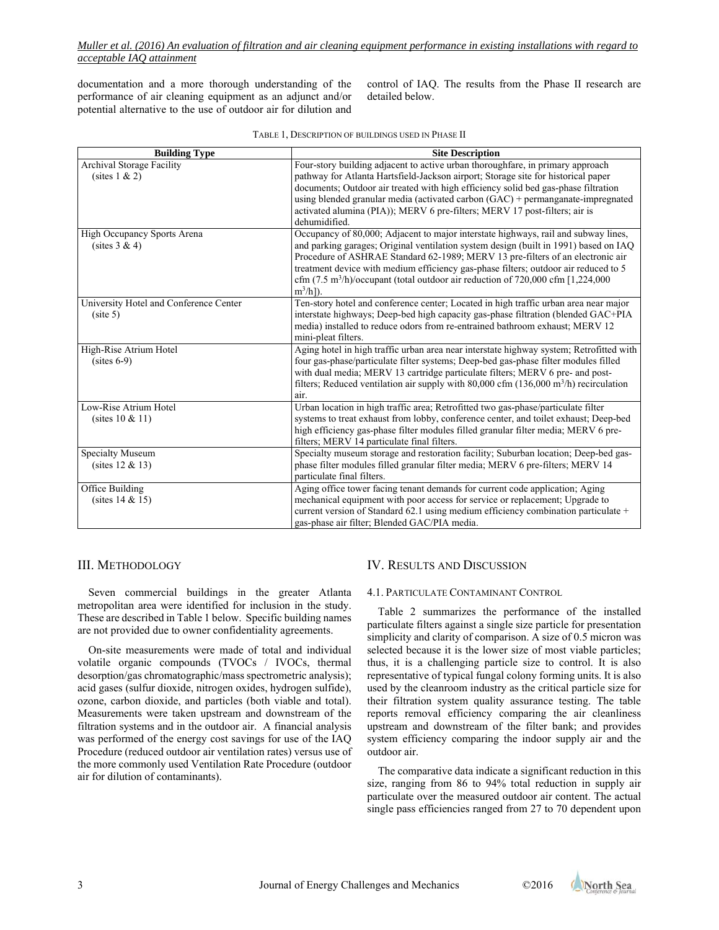documentation and a more thorough understanding of the performance of air cleaning equipment as an adjunct and/or potential alternative to the use of outdoor air for dilution and control of IAQ. The results from the Phase II research are detailed below.

| <b>Site Description</b>                                                                                                                                                                   |  |  |
|-------------------------------------------------------------------------------------------------------------------------------------------------------------------------------------------|--|--|
| Four-story building adjacent to active urban thoroughfare, in primary approach                                                                                                            |  |  |
| pathway for Atlanta Hartsfield-Jackson airport; Storage site for historical paper                                                                                                         |  |  |
| documents; Outdoor air treated with high efficiency solid bed gas-phase filtration                                                                                                        |  |  |
| using blended granular media (activated carbon $(GAC)$ + permanganate-impregnated                                                                                                         |  |  |
| activated alumina (PIA)); MERV 6 pre-filters; MERV 17 post-filters; air is                                                                                                                |  |  |
| dehumidified.                                                                                                                                                                             |  |  |
| Occupancy of 80,000; Adjacent to major interstate highways, rail and subway lines,                                                                                                        |  |  |
| and parking garages; Original ventilation system design (built in 1991) based on IAQ                                                                                                      |  |  |
| Procedure of ASHRAE Standard 62-1989; MERV 13 pre-filters of an electronic air                                                                                                            |  |  |
| treatment device with medium efficiency gas-phase filters; outdoor air reduced to 5                                                                                                       |  |  |
| cfm $(7.5 \text{ m}^3/\text{h})/\text{occupant}$ (total outdoor air reduction of 720,000 cfm [1,224,000                                                                                   |  |  |
| $m^3/h$ ]).                                                                                                                                                                               |  |  |
| Ten-story hotel and conference center; Located in high traffic urban area near major                                                                                                      |  |  |
| interstate highways; Deep-bed high capacity gas-phase filtration (blended GAC+PIA                                                                                                         |  |  |
| media) installed to reduce odors from re-entrained bathroom exhaust; MERV 12                                                                                                              |  |  |
| mini-pleat filters.                                                                                                                                                                       |  |  |
| Aging hotel in high traffic urban area near interstate highway system; Retrofitted with                                                                                                   |  |  |
| four gas-phase/particulate filter systems; Deep-bed gas-phase filter modules filled                                                                                                       |  |  |
| with dual media; MERV 13 cartridge particulate filters; MERV 6 pre- and post-<br>filters; Reduced ventilation air supply with $80,000$ cfm $(136,000 \text{ m}^3/\text{h})$ recirculation |  |  |
| air.                                                                                                                                                                                      |  |  |
| Urban location in high traffic area; Retrofitted two gas-phase/particulate filter                                                                                                         |  |  |
| systems to treat exhaust from lobby, conference center, and toilet exhaust; Deep-bed                                                                                                      |  |  |
| high efficiency gas-phase filter modules filled granular filter media; MERV 6 pre-                                                                                                        |  |  |
| filters; MERV 14 particulate final filters.                                                                                                                                               |  |  |
| Specialty museum storage and restoration facility; Suburban location; Deep-bed gas-                                                                                                       |  |  |
| phase filter modules filled granular filter media; MERV 6 pre-filters; MERV 14                                                                                                            |  |  |
| particulate final filters.                                                                                                                                                                |  |  |
| Aging office tower facing tenant demands for current code application; Aging                                                                                                              |  |  |
| mechanical equipment with poor access for service or replacement; Upgrade to                                                                                                              |  |  |
| current version of Standard 62.1 using medium efficiency combination particulate +                                                                                                        |  |  |
| gas-phase air filter; Blended GAC/PIA media.                                                                                                                                              |  |  |
|                                                                                                                                                                                           |  |  |

# III. METHODOLOGY

Seven commercial buildings in the greater Atlanta metropolitan area were identified for inclusion in the study. These are described in Table 1 below. Specific building names are not provided due to owner confidentiality agreements.

On-site measurements were made of total and individual volatile organic compounds (TVOCs / IVOCs, thermal desorption/gas chromatographic/mass spectrometric analysis); acid gases (sulfur dioxide, nitrogen oxides, hydrogen sulfide), ozone, carbon dioxide, and particles (both viable and total). Measurements were taken upstream and downstream of the filtration systems and in the outdoor air. A financial analysis was performed of the energy cost savings for use of the IAQ Procedure (reduced outdoor air ventilation rates) versus use of the more commonly used Ventilation Rate Procedure (outdoor air for dilution of contaminants).

# IV. RESULTS AND DISCUSSION

#### 4.1. PARTICULATE CONTAMINANT CONTROL

Table 2 summarizes the performance of the installed particulate filters against a single size particle for presentation simplicity and clarity of comparison. A size of 0.5 micron was selected because it is the lower size of most viable particles; thus, it is a challenging particle size to control. It is also representative of typical fungal colony forming units. It is also used by the cleanroom industry as the critical particle size for their filtration system quality assurance testing. The table reports removal efficiency comparing the air cleanliness upstream and downstream of the filter bank; and provides system efficiency comparing the indoor supply air and the outdoor air.

The comparative data indicate a significant reduction in this size, ranging from 86 to 94% total reduction in supply air particulate over the measured outdoor air content. The actual single pass efficiencies ranged from 27 to 70 dependent upon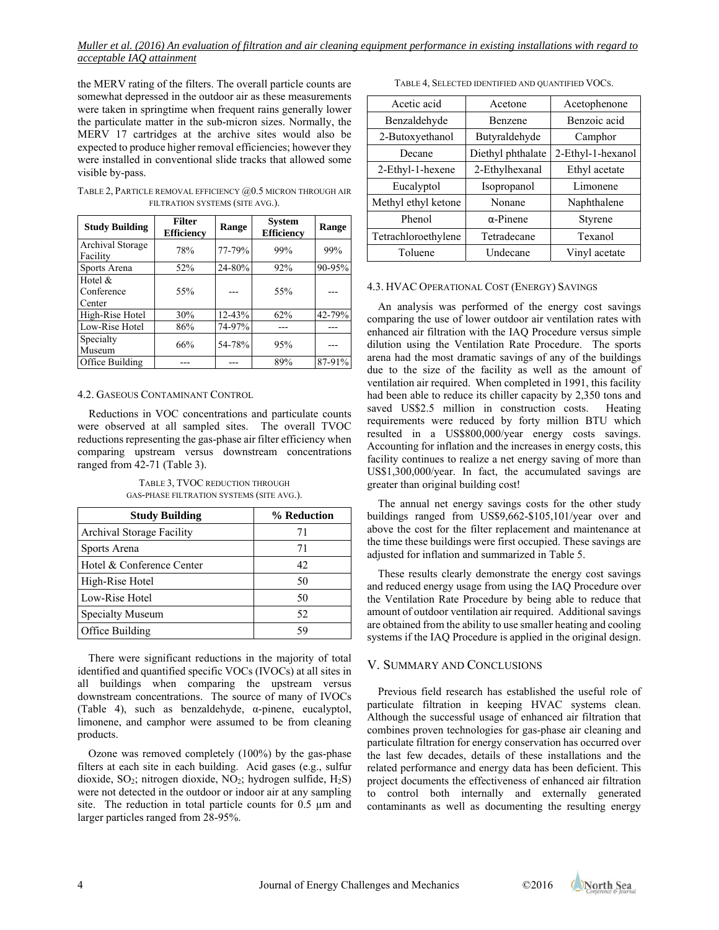*Muller et al. (2016) An evaluation of filtration and air cleaning equipment performance in existing installations with regard to acceptable IAQ attainment* 

the MERV rating of the filters. The overall particle counts are somewhat depressed in the outdoor air as these measurements were taken in springtime when frequent rains generally lower the particulate matter in the sub-micron sizes. Normally, the MERV 17 cartridges at the archive sites would also be expected to produce higher removal efficiencies; however they were installed in conventional slide tracks that allowed some visible by-pass.

| TABLE 2, PARTICLE REMOVAL EFFICIENCY $(20.5$ MICRON THROUGH AIR |
|-----------------------------------------------------------------|
| FILTRATION SYSTEMS (SITE AVG.).                                 |

| <b>Study Building</b>              | <b>Filter</b><br><b>Efficiency</b> | Range      | <b>System</b><br><b>Efficiency</b> | Range  |
|------------------------------------|------------------------------------|------------|------------------------------------|--------|
| Archival Storage<br>Facility       | 78%                                | 77-79%     | 99%                                | 99%    |
| Sports Arena                       | 52%                                | 24-80%     | 92%                                | 90-95% |
| Hotel $\&$<br>Conference<br>Center | 55%                                |            | 55%                                |        |
| High-Rise Hotel                    | 30%                                | $12 - 43%$ | 62%                                | 42-79% |
| Low-Rise Hotel                     | 86%                                | 74-97%     |                                    |        |
| Specialty<br>Museum                | 66%                                | 54-78%     | 95%                                |        |
| Office Building                    |                                    |            | 89%                                | 87-91% |

#### 4.2. GASEOUS CONTAMINANT CONTROL

Reductions in VOC concentrations and particulate counts were observed at all sampled sites. The overall TVOC reductions representing the gas-phase air filter efficiency when comparing upstream versus downstream concentrations ranged from 42-71 (Table 3).

TABLE 3, TVOC REDUCTION THROUGH GAS-PHASE FILTRATION SYSTEMS (SITE AVG.).

| <b>Study Building</b>     | % Reduction |
|---------------------------|-------------|
| Archival Storage Facility | 71          |
| Sports Arena              | 71          |
| Hotel & Conference Center | 42          |
| High-Rise Hotel           | 50          |
| Low-Rise Hotel            | 50          |
| <b>Specialty Museum</b>   | 52          |
| Office Building           | 59          |

There were significant reductions in the majority of total identified and quantified specific VOCs (IVOCs) at all sites in all buildings when comparing the upstream versus downstream concentrations. The source of many of IVOCs (Table 4), such as benzaldehyde, α-pinene, eucalyptol, limonene, and camphor were assumed to be from cleaning products.

Ozone was removed completely (100%) by the gas-phase filters at each site in each building. Acid gases (e.g., sulfur dioxide, SO2; nitrogen dioxide, NO2; hydrogen sulfide, H2S) were not detected in the outdoor or indoor air at any sampling site. The reduction in total particle counts for 0.5  $\mu$ m and larger particles ranged from 28-95%.

| Acetic acid         | Acetone                                | Acetophenone  |
|---------------------|----------------------------------------|---------------|
| Benzaldehyde        | Benzene                                | Benzoic acid  |
| 2-Butoxyethanol     | Butyraldehyde                          | Camphor       |
| Decane              | 2-Ethyl-1-hexanol<br>Diethyl phthalate |               |
| 2-Ethyl-1-hexene    | 2-Ethylhexanal                         | Ethyl acetate |
| Eucalyptol          | Isopropanol                            | Limonene      |
| Methyl ethyl ketone | Nonane                                 | Naphthalene   |
| Phenol              | $\alpha$ -Pinene                       | Styrene       |
| Tetrachloroethylene | Tetradecane                            | Texanol       |
| Toluene             | Undecane                               | Vinyl acetate |

#### TABLE 4, SELECTED IDENTIFIED AND QUANTIFIED VOCS.

## 4.3. HVAC OPERATIONAL COST (ENERGY) SAVINGS

An analysis was performed of the energy cost savings comparing the use of lower outdoor air ventilation rates with enhanced air filtration with the IAQ Procedure versus simple dilution using the Ventilation Rate Procedure. The sports arena had the most dramatic savings of any of the buildings due to the size of the facility as well as the amount of ventilation air required. When completed in 1991, this facility had been able to reduce its chiller capacity by 2,350 tons and saved US\$2.5 million in construction costs. Heating requirements were reduced by forty million BTU which resulted in a US\$800,000/year energy costs savings. Accounting for inflation and the increases in energy costs, this facility continues to realize a net energy saving of more than US\$1,300,000/year. In fact, the accumulated savings are greater than original building cost!

The annual net energy savings costs for the other study buildings ranged from US\$9,662-\$105,101/year over and above the cost for the filter replacement and maintenance at the time these buildings were first occupied. These savings are adjusted for inflation and summarized in Table 5.

These results clearly demonstrate the energy cost savings and reduced energy usage from using the IAQ Procedure over the Ventilation Rate Procedure by being able to reduce that amount of outdoor ventilation air required. Additional savings are obtained from the ability to use smaller heating and cooling systems if the IAQ Procedure is applied in the original design.

#### V. SUMMARY AND CONCLUSIONS

Previous field research has established the useful role of particulate filtration in keeping HVAC systems clean. Although the successful usage of enhanced air filtration that combines proven technologies for gas-phase air cleaning and particulate filtration for energy conservation has occurred over the last few decades, details of these installations and the related performance and energy data has been deficient. This project documents the effectiveness of enhanced air filtration to control both internally and externally generated contaminants as well as documenting the resulting energy